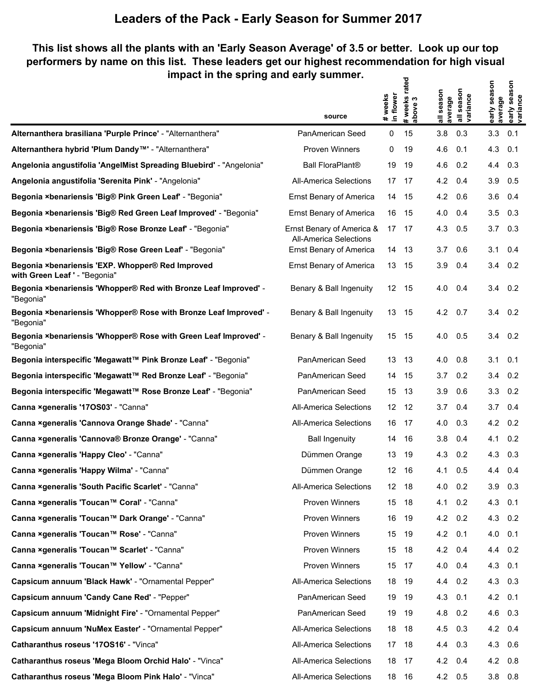### **This list shows all the plants with an 'Early Season Average' of 3.5 or better. Look up our top performers by name on this list. These leaders get our highest recommendation for high visual impact in the spring and early summer. # weeks rated**

|                                                                                   | source                                                     | # weeks<br>in flower | # weeks rate<br>above 3 | all season<br>average | all season<br>variance | early season<br>average | early season<br>variance |
|-----------------------------------------------------------------------------------|------------------------------------------------------------|----------------------|-------------------------|-----------------------|------------------------|-------------------------|--------------------------|
| Alternanthera brasiliana 'Purple Prince' - "Alternanthera"                        | PanAmerican Seed                                           | 0                    | 15                      | 3.8                   | 0.3                    | 3.3                     | 0.1                      |
| Alternanthera hybrid 'Plum Dandy <sup>™'</sup> - "Alternanthera"                  | <b>Proven Winners</b>                                      | 0                    | 19                      | 4.6                   | 0.1                    | 4.3                     | 0.1                      |
| Angelonia angustifolia 'AngelMist Spreading Bluebird' - "Angelonia"               | <b>Ball FloraPlant®</b>                                    | 19                   | 19                      | 4.6                   | 0.2                    | 4.4                     | 0.3                      |
| Angelonia angustifolia 'Serenita Pink' - "Angelonia"                              | <b>All-America Selections</b>                              | 17                   | 17                      | 4.2                   | 0.4                    | 3.9                     | 0.5                      |
| Begonia ×benariensis 'Big® Pink Green Leaf' - "Begonia"                           | <b>Ernst Benary of America</b>                             | 14                   | 15                      | 4.2                   | 0.6                    | 3.6                     | 0.4                      |
| Begonia ×benariensis 'Big® Red Green Leaf Improved' - "Begonia"                   | <b>Ernst Benary of America</b>                             | 16                   | 15                      | 4.0                   | 0.4                    | 3.5                     | 0.3                      |
| Begonia ×benariensis 'Big® Rose Bronze Leaf' - "Begonia"                          | Ernst Benary of America &<br><b>All-America Selections</b> | 17                   | 17                      | 4.3                   | 0.5                    | 3.7                     | 0.3                      |
| Begonia ×benariensis 'Big® Rose Green Leaf' - "Begonia"                           | Ernst Benary of America                                    | 14                   | 13                      | 3.7                   | 0.6                    | 3.1                     | 0.4                      |
| Begonia ×benariensis 'EXP. Whopper® Red Improved<br>with Green Leaf ' - "Begonia" | <b>Ernst Benary of America</b>                             | 13                   | 15                      | 3.9                   | 0.4                    | 3.4                     | $0.2^{\circ}$            |
| Begonia ×benariensis 'Whopper® Red with Bronze Leaf Improved' -<br>"Begonia"      | Benary & Ball Ingenuity                                    | $12 \overline{ }$    | -15                     | 4.0                   | 0.4                    | 3.4                     | 0.2                      |
| Begonia ×benariensis 'Whopper® Rose with Bronze Leaf Improved' -<br>"Begonia"     | Benary & Ball Ingenuity                                    | 13                   | 15                      | 4.2                   | 0.7                    | 3.4                     | 0.2                      |
| Begonia ×benariensis 'Whopper® Rose with Green Leaf Improved' -<br>"Begonia"      | Benary & Ball Ingenuity                                    | 15                   | 15                      | 4.0                   | 0.5                    | 3.4                     | 0.2                      |
| Begonia interspecific 'Megawatt™ Pink Bronze Leaf' - "Begonia"                    | PanAmerican Seed                                           | 13                   | 13                      | 4.0                   | 0.8                    | 3.1                     | 0.1                      |
| Begonia interspecific 'Megawatt™ Red Bronze Leaf' - "Begonia"                     | PanAmerican Seed                                           | 14                   | 15                      | 3.7                   | 0.2                    | 3.4                     | 0.2                      |
| Begonia interspecific 'Megawatt™ Rose Bronze Leaf' - "Begonia"                    | PanAmerican Seed                                           | 15                   | 13                      | 3.9                   | 0.6                    | 3.3                     | 0.2                      |
| Canna xgeneralis '170S03' - "Canna"                                               | All-America Selections                                     | 12                   | 12                      | 3.7                   | 0.4                    | 3.7                     | 0.4                      |
| Canna xgeneralis 'Cannova Orange Shade' - "Canna"                                 | All-America Selections                                     | 16                   | 17                      | 4.0                   | 0.3                    | 4.2                     | 0.2                      |
| Canna xgeneralis 'Cannova® Bronze Orange' - "Canna"                               | <b>Ball Ingenuity</b>                                      | 14                   | 16                      | 3.8                   | 0.4                    | 4.1                     | 0.2                      |
| Canna ×generalis 'Happy Cleo' - "Canna"                                           | Dümmen Orange                                              | 13                   | 19                      | 4.3                   | 0.2                    | 4.3                     | 0.3                      |
| Canna xgeneralis 'Happy Wilma' - "Canna"                                          | Dümmen Orange                                              | 12                   | 16                      | 4.1                   | 0.5                    | 4.4                     | 0.4                      |
| Canna ×generalis 'South Pacific Scarlet' - "Canna"                                | <b>All-America Selections</b>                              | 12                   | - 18                    | 4.0                   | 0.2                    | 3.9                     | 0.3                      |
| Canna ×generalis 'Toucan™ Coral' - "Canna"                                        | <b>Proven Winners</b>                                      | 15                   | 18                      | 4.1                   | 0.2                    | 4.3                     | 0.1                      |
| Canna ×generalis 'Toucan™ Dark Orange' - "Canna"                                  | Proven Winners                                             | 16                   | 19                      | 4.2                   | 0.2                    | 4.3                     | 0.2                      |
| Canna ×generalis 'Toucan™ Rose' - "Canna"                                         | <b>Proven Winners</b>                                      | 15                   | 19                      | 4.2                   | 0.1                    | 4.0                     | 0.1                      |
| Canna ×generalis 'Toucan™ Scarlet' - "Canna"                                      | Proven Winners                                             | 15                   | 18                      | 4.2                   | 0.4                    | 4.4                     | 0.2                      |
| Canna ×generalis 'Toucan™ Yellow' - "Canna"                                       | Proven Winners                                             | 15                   | 17                      | 4.0                   | 0.4                    | 4.3                     | 0.1                      |
| Capsicum annuum 'Black Hawk' - "Ornamental Pepper"                                | All-America Selections                                     | 18                   | 19                      | 4.4                   | 0.2                    | 4.3                     | 0.3                      |
| Capsicum annuum 'Candy Cane Red' - "Pepper"                                       | PanAmerican Seed                                           | 19                   | 19                      | 4.3                   | 0.1                    | 4.2                     | 0.1                      |
| Capsicum annuum 'Midnight Fire' - "Ornamental Pepper"                             | PanAmerican Seed                                           | 19                   | 19                      | 4.8                   | 0.2                    | 4.6                     | 0.3                      |
| Capsicum annuum 'NuMex Easter' - "Ornamental Pepper"                              | All-America Selections                                     | 18                   | 18                      | 4.5                   | 0.3                    | 4.2                     | 0.4                      |
| Catharanthus roseus '170S16' - "Vinca"                                            | <b>All-America Selections</b>                              | 17                   | 18                      | 4.4                   | 0.3                    | 4.3                     | 0.6                      |
| Catharanthus roseus 'Mega Bloom Orchid Halo' - "Vinca"                            | All-America Selections                                     | 18                   | 17                      | 4.2                   | 0.4                    | 4.2                     | 0.8                      |
| Catharanthus roseus 'Mega Bloom Pink Halo' - "Vinca"                              | All-America Selections                                     | 18                   | 16                      | 4.2                   | 0.5                    | 3.8                     | 0.8                      |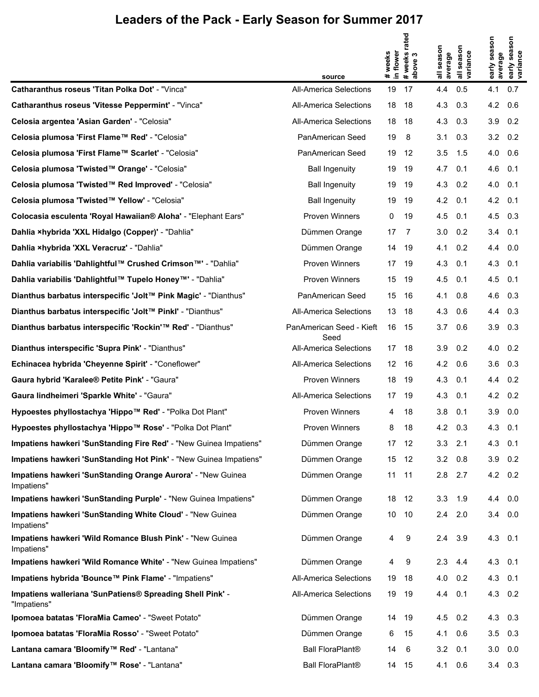|                                                                           |                                  |                      | rated                         |                   |                                  |                         | season                 |
|---------------------------------------------------------------------------|----------------------------------|----------------------|-------------------------------|-------------------|----------------------------------|-------------------------|------------------------|
|                                                                           |                                  | # weeks<br>in flower | # weeks <b>n</b><br>  above 3 | season<br>average | season<br>all seasor<br>variance | early season<br>average | early seas<br>variance |
| Catharanthus roseus 'Titan Polka Dot' - "Vinca"                           | source<br>All-America Selections | 19                   | 17                            | 4.4               | 0.5                              | 4.1                     | 0.7                    |
| Catharanthus roseus 'Vitesse Peppermint' - "Vinca"                        | <b>All-America Selections</b>    | 18                   | 18                            | 4.3               | 0.3                              | 4.2                     | 0.6                    |
| Celosia argentea 'Asian Garden' - "Celosia"                               | <b>All-America Selections</b>    | 18                   | 18                            | 4.3               | 0.3                              | 3.9                     | 0.2                    |
| Celosia plumosa 'First Flame™ Red' - "Celosia"                            | PanAmerican Seed                 | 19                   | -8                            | 3.1               | 0.3                              | $3.2 \quad 0.2$         |                        |
| Celosia plumosa 'First Flame™ Scarlet' - "Celosia"                        | PanAmerican Seed                 | 19                   | -12                           | 3.5               | 1.5                              | 4.0                     | 0.6                    |
| Celosia plumosa 'Twisted™ Orange' - "Celosia"                             | <b>Ball Ingenuity</b>            | 19                   | 19                            | 4.7               | 0.1                              | 4.6 0.1                 |                        |
| Celosia plumosa 'Twisted™ Red Improved' - "Celosia"                       | <b>Ball Ingenuity</b>            | 19                   | 19                            | 4.3               | 0.2                              | 4.0                     | 0.1                    |
| Celosia plumosa 'Twisted™ Yellow' - "Celosia"                             | <b>Ball Ingenuity</b>            | 19                   | -19                           | 4.2               | 0.1                              | $4.2 \quad 0.1$         |                        |
| Colocasia esculenta 'Royal Hawaiian® Aloha' - "Elephant Ears"             | Proven Winners                   | 0                    | 19                            | 4.5               | 0.1                              | 4.5                     | 0.3                    |
| Dahlia ×hybrida 'XXL Hidalgo (Copper)' - "Dahlia"                         | Dümmen Orange                    | 17                   | $\overline{7}$                | 3.0               | 0.2                              | $3.4$ 0.1               |                        |
| Dahlia ×hybrida 'XXL Veracruz' - "Dahlia"                                 | Dümmen Orange                    | 14                   | - 19                          | 4.1               | 0.2                              | 4.4                     | 0.0                    |
| Dahlia variabilis 'Dahlightful™ Crushed Crimson™' - "Dahlia"              | Proven Winners                   | 17 19                |                               | 4.3               | 0.1                              | 4.3                     | 0.1                    |
| Dahlia variabilis 'Dahlightful™ Tupelo Honey™' - "Dahlia"                 | Proven Winners                   | 15                   | 19                            | 4.5               | 0.1                              | 4.5                     | 0.1                    |
| Dianthus barbatus interspecific 'Jolt™ Pink Magic' - "Dianthus"           | PanAmerican Seed                 | 15 <sup>15</sup>     | - 16                          | 4.1               | 0.8                              | 4.6 0.3                 |                        |
| Dianthus barbatus interspecific 'Jolt™ Pinkl' - "Dianthus"                | <b>All-America Selections</b>    | 13                   | - 18                          | 4.3               | 0.6                              | 4.4                     | 0.3                    |
| Dianthus barbatus interspecific 'Rockin'™ Red' - "Dianthus"               | PanAmerican Seed - Kieft<br>Seed | 16 15                |                               | 3.7               | 0.6                              | 3.9                     | 0.3                    |
| Dianthus interspecific 'Supra Pink' - "Dianthus"                          | <b>All-America Selections</b>    | 17 18                |                               | 3.9               | 0.2                              | 4.0                     | 0.2                    |
| Echinacea hybrida 'Cheyenne Spirit' - "Coneflower"                        | <b>All-America Selections</b>    | 12 16                |                               | 4.2               | 0.6                              | 3.6                     | 0.3                    |
| Gaura hybrid 'Karalee® Petite Pink' - "Gaura"                             | Proven Winners                   | 18                   | - 19                          | 4.3               | 0.1                              | 4.4 0.2                 |                        |
| Gaura lindheimeri 'Sparkle White' - "Gaura"                               | <b>All-America Selections</b>    | 17 19                |                               | 4.3               | 0.1                              | 4.2                     | 0.2                    |
| Hypoestes phyllostachya 'Hippo™ Red' - "Polka Dot Plant"                  | Proven Winners                   | 4                    | 18                            | 3.8               | 0.1                              | $3.9\quad 0.0$          |                        |
| Hypoestes phyllostachya 'Hippo™ Rose' - "Polka Dot Plant"                 | Proven Winners                   | 8                    | 18                            | 4.2               | 0.3                              | 4.3 0.1                 |                        |
| Impatiens hawkeri 'SunStanding Fire Red' - "New Guinea Impatiens"         | Dümmen Orange                    |                      | 17 12                         | 3.3               | 2.1                              | $4.3$ 0.1               |                        |
| Impatiens hawkeri 'SunStanding Hot Pink' - "New Guinea Impatiens"         | Dümmen Orange                    |                      | 15 12                         | 3.2               | 0.8                              | $3.9$ 0.2               |                        |
| Impatiens hawkeri 'SunStanding Orange Aurora' - "New Guinea<br>Impatiens" | Dümmen Orange                    | 11                   | 11                            | 2.8               | 2.7                              | 4.2 0.2                 |                        |
| Impatiens hawkeri 'SunStanding Purple' - "New Guinea Impatiens"           | Dümmen Orange                    | 18                   | -12                           | 3.3               | 1.9                              | 4.4 0.0                 |                        |
| Impatiens hawkeri 'SunStanding White Cloud' - "New Guinea<br>Impatiens"   | Dümmen Orange                    | 10                   | - 10                          | 2.4               | 2.0                              | $3.4\quad 0.0$          |                        |
| Impatiens hawkeri 'Wild Romance Blush Pink' - "New Guinea<br>Impatiens"   | Dümmen Orange                    | 4                    | 9                             | 2.4               | 3.9                              | 4.3 0.1                 |                        |
| Impatiens hawkeri 'Wild Romance White' - "New Guinea Impatiens"           | Dümmen Orange                    | 4                    | 9                             | 2.3               | 4.4                              | 4.3 0.1                 |                        |
| Impatiens hybrida 'Bounce™ Pink Flame' - "Impatiens"                      | <b>All-America Selections</b>    | 19                   | 18                            | 4.0               | 0.2                              | 4.3                     | 0.1                    |
| Impatiens walleriana 'SunPatiens® Spreading Shell Pink' -<br>"Impatiens"  | All-America Selections           | 19                   | -19                           | 4.4               | 0.1                              | $4.3 \quad 0.2$         |                        |
| Ipomoea batatas 'FloraMia Cameo' - "Sweet Potato"                         | Dümmen Orange                    |                      | 14 19                         | 4.5               | 0.2                              | 4.3 0.3                 |                        |
| Ipomoea batatas 'FloraMia Rosso' - "Sweet Potato"                         | Dümmen Orange                    | 6                    | 15                            | 4.1               | 0.6                              | $3.5$ 0.3               |                        |
| Lantana camara 'Bloomify™ Red' - "Lantana"                                | <b>Ball FloraPlant®</b>          | 14                   | 6                             | 3.2               | 0.1                              | $3.0\quad 0.0$          |                        |
| Lantana camara 'Bloomify™ Rose' - "Lantana"                               | <b>Ball FloraPlant®</b>          |                      | 14 15                         | 4.1               | 0.6                              | $3.4$ 0.3               |                        |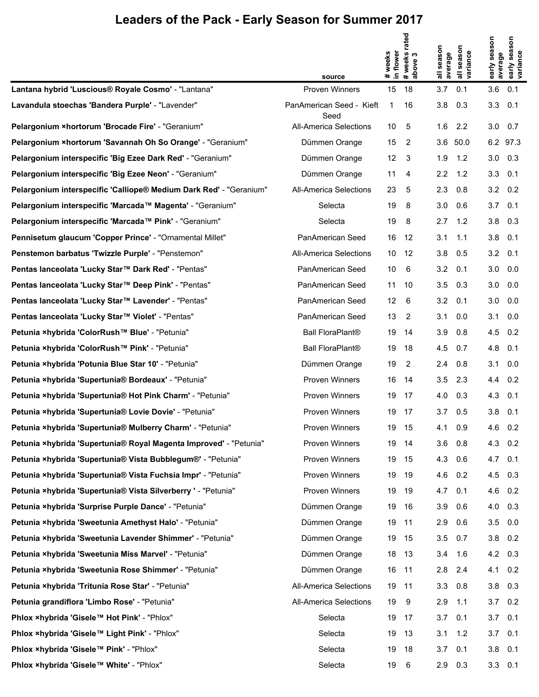|                                                                    |                                 |                      | rated                         |                   |                                  |                         | season                 |
|--------------------------------------------------------------------|---------------------------------|----------------------|-------------------------------|-------------------|----------------------------------|-------------------------|------------------------|
|                                                                    |                                 | # weeks<br>in flower | # weeks <b>n</b><br>  above 3 | season<br>average | season<br>all seasor<br>variance | early season<br>average | early seas<br>variance |
| Lantana hybrid 'Luscious® Royale Cosmo' - "Lantana"                | source<br><b>Proven Winners</b> | 15                   | 18                            | 3.7               | 0.1                              | 3.6                     | 0.1                    |
| Lavandula stoechas 'Bandera Purple' - "Lavender"                   | PanAmerican Seed - Kieft        | 1                    | 16                            | 3.8               | 0.3                              | 3.3                     | 0.1                    |
| Pelargonium ×hortorum 'Brocade Fire' - "Geranium"                  | Seed<br>All-America Selections  | 10                   | 5                             | 1.6               | 2.2                              | $3.0\quad 0.7$          |                        |
| Pelargonium ×hortorum 'Savannah Oh So Orange' - "Geranium"         | Dümmen Orange                   | 15                   | 2                             | 3.6               | 50.0                             |                         | 6.2 97.3               |
| Pelargonium interspecific 'Big Ezee Dark Red' - "Geranium"         | Dümmen Orange                   | 12 <sup>°</sup>      | -3                            | 1.9               | 1.2                              | $3.0\quad 0.3$          |                        |
| Pelargonium interspecific 'Big Ezee Neon' - "Geranium"             | Dümmen Orange                   | 11                   | 4                             | 2.2               | 1.2                              | 3.3                     | 0.1                    |
| Pelargonium interspecific 'Calliope® Medium Dark Red' - "Geranium" | <b>All-America Selections</b>   | 23                   | 5                             | 2.3               | 0.8                              | $3.2 \quad 0.2$         |                        |
| Pelargonium interspecific 'Marcada™ Magenta' - "Geranium"          | Selecta                         | 19                   | 8                             | 3.0               | 0.6                              | 3.7                     | 0.1                    |
| Pelargonium interspecific 'Marcada™ Pink' - "Geranium"             | Selecta                         | 19                   | 8                             | 2.7               | 1.2                              | $3.8$ 0.3               |                        |
| Pennisetum glaucum 'Copper Prince' - "Ornamental Millet"           | PanAmerican Seed                | 16                   | -12                           | 3.1               | 1.1                              | 3.8                     | 0.1                    |
| Penstemon barbatus 'Twizzle Purple' - "Penstemon"                  | <b>All-America Selections</b>   | 10                   | - 12                          | 3.8               | 0.5                              | $3.2 \quad 0.1$         |                        |
| Pentas lanceolata 'Lucky Star™ Dark Red' - "Pentas"                | PanAmerican Seed                | 10                   | 6                             | 3.2               | 0.1                              | 3.0                     | 0.0                    |
| Pentas lanceolata 'Lucky Star™ Deep Pink' - "Pentas"               | PanAmerican Seed                | 11                   | 10                            | 3.5               | 0.3                              | 3.0                     | 0.0                    |
| Pentas lanceolata 'Lucky Star™ Lavender' - "Pentas"                | PanAmerican Seed                | 12 <sup>2</sup>      | 6                             | 3.2               | 0.1                              | 3.0                     | 0.0                    |
| Pentas lanceolata 'Lucky Star™ Violet' - "Pentas"                  | PanAmerican Seed                | 13                   | 2                             | 3.1               | 0.0                              | 3.1                     | 0.0                    |
| Petunia ×hybrida 'ColorRush™ Blue' - "Petunia"                     | <b>Ball FloraPlant®</b>         | 19                   | 14                            | 3.9               | 0.8                              | 4.5                     | 0.2                    |
| Petunia ×hybrida 'ColorRush™ Pink' - "Petunia"                     | <b>Ball FloraPlant®</b>         | 19                   | 18                            | 4.5               | 0.7                              | 4.8                     | 0.1                    |
| Petunia ×hybrida 'Potunia Blue Star 10' - "Petunia"                | Dümmen Orange                   | 19                   | 2                             | 2.4               | 0.8                              | 3.1                     | 0.0                    |
| Petunia ×hybrida 'Supertunia® Bordeaux' - "Petunia"                | <b>Proven Winners</b>           | 16                   | -14                           | 3.5               | 2.3                              | 4.4 0.2                 |                        |
| Petunia xhybrida 'Supertunia® Hot Pink Charm' - "Petunia"          | Proven Winners                  | 19                   | 17                            | 4.0               | 0.3                              | 4.3                     | 0.1                    |
| Petunia ×hybrida 'Supertunia® Lovie Dovie' - "Petunia"             | <b>Proven Winners</b>           | 19                   | 17                            | 3.7               | 0.5                              | $3.8$ 0.1               |                        |
| Petunia xhybrida 'Supertunia® Mulberry Charm' - "Petunia"          | <b>Proven Winners</b>           | 19                   | 15                            | 4.1               | 0.9                              | 4.6 0.2                 |                        |
| Petunia ×hybrida 'Supertunia® Royal Magenta Improved' - "Petunia"  | <b>Proven Winners</b>           | 19                   | -14                           | 3.6               | 0.8                              | 4.3 0.2                 |                        |
| Petunia ×hybrida 'Supertunia® Vista Bubblegum®' - "Petunia"        | Proven Winners                  | 19                   | - 15                          | 4.3               | 0.6                              | $4.7 \quad 0.1$         |                        |
| Petunia ×hybrida 'Supertunia® Vista Fuchsia Impr' - "Petunia"      | Proven Winners                  | 19                   | 19                            | 4.6               | 0.2                              | 4.5                     | 0.3                    |
| Petunia ×hybrida 'Supertunia® Vista Silverberry ' - "Petunia"      | Proven Winners                  | 19                   | - 19                          | 4.7               | 0.1                              | $4.6 \quad 0.2$         |                        |
| Petunia ×hybrida 'Surprise Purple Dance' - "Petunia"               | Dümmen Orange                   | 19                   | - 16                          | 3.9               | 0.6                              | 4.0 0.3                 |                        |
| Petunia ×hybrida 'Sweetunia Amethyst Halo' - "Petunia"             | Dümmen Orange                   | 19                   | 11                            | 2.9               | 0.6                              | $3.5\quad 0.0$          |                        |
| Petunia ×hybrida 'Sweetunia Lavender Shimmer' - "Petunia"          | Dümmen Orange                   | 19                   | - 15                          | 3.5               | 0.7                              | $3.8$ 0.2               |                        |
| Petunia ×hybrida 'Sweetunia Miss Marvel' - "Petunia"               | Dümmen Orange                   | 18                   | - 13                          | 3.4               | 1.6                              | $4.2\quad 0.3$          |                        |
| Petunia ×hybrida 'Sweetunia Rose Shimmer' - "Petunia"              | Dümmen Orange                   | 16                   | 11                            | 2.8               | 2.4                              | 4.1                     | 0.2                    |
| Petunia xhybrida 'Tritunia Rose Star' - "Petunia"                  | All-America Selections          | 19                   | 11                            | 3.3               | 0.8                              | $3.8\quad 0.3$          |                        |
| Petunia grandiflora 'Limbo Rose' - "Petunia"                       | All-America Selections          | 19                   | 9                             | 2.9               | 1.1                              | $3.7 \quad 0.2$         |                        |
| Phlox ×hybrida 'Gisele™ Hot Pink' - "Phlox"                        | Selecta                         | 19                   | -17                           | 3.7               | 0.1                              | $3.7 \quad 0.1$         |                        |
| Phlox ×hybrida 'Gisele™ Light Pink' - "Phlox"                      | Selecta                         | 19                   | 13                            | 3.1               | 1.2                              | $3.7 \quad 0.1$         |                        |
| Phlox ×hybrida 'Gisele™ Pink' - "Phlox"                            | Selecta                         | 19                   | 18                            | 3.7               | 0.1                              | $3.8\quad 0.1$          |                        |
| Phlox ×hybrida 'Gisele™ White' - "Phlox"                           | Selecta                         | 19                   | 6                             | 2.9               | 0.3                              | $3.3 \quad 0.1$         |                        |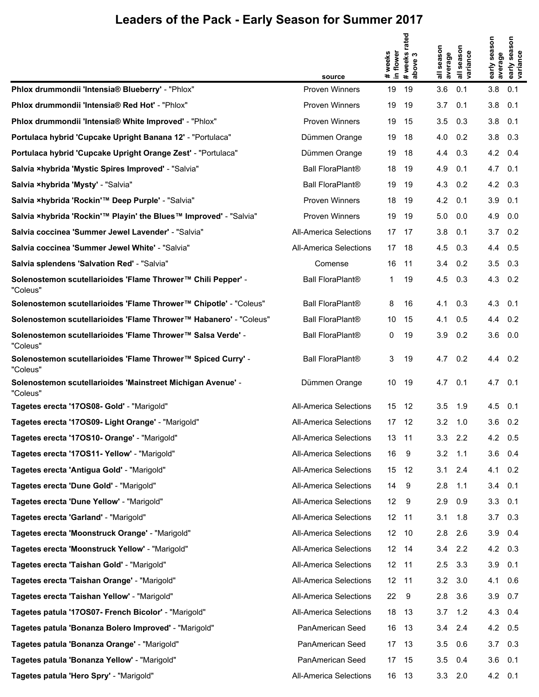|                                                                          | source                        | # weeks<br>in flower | rated<br># weeks i<br>above 3 | season<br>average | season<br>all seasor<br>variance | early season<br>average | early season<br>variance |
|--------------------------------------------------------------------------|-------------------------------|----------------------|-------------------------------|-------------------|----------------------------------|-------------------------|--------------------------|
| Phlox drummondii 'Intensia® Blueberry' - "Phlox"                         | <b>Proven Winners</b>         | 19                   | 19                            | 3.6               | 0.1                              | 3.8                     | 0.1                      |
| Phlox drummondii 'Intensia® Red Hot' - "Phlox"                           | <b>Proven Winners</b>         | 19                   | 19                            | 3.7               | 0.1                              | 3.8                     | 0.1                      |
| Phlox drummondii 'Intensia® White Improved' - "Phlox"                    | <b>Proven Winners</b>         | 19                   | 15                            | 3.5               | 0.3                              | 3.8                     | 0.1                      |
| Portulaca hybrid 'Cupcake Upright Banana 12' - "Portulaca"               | Dümmen Orange                 | 19                   | -18                           | 4.0               | 0.2                              | $3.8\quad 0.3$          |                          |
| Portulaca hybrid 'Cupcake Upright Orange Zest' - "Portulaca"             | Dümmen Orange                 | 19                   | 18                            | 4.4               | 0.3                              | 4.2                     | 0.4                      |
| Salvia xhybrida 'Mystic Spires Improved' - "Salvia"                      | Ball FloraPlant®              | 18                   | -19                           | 4.9               | 0.1                              | $4.7$ 0.1               |                          |
| Salvia xhybrida 'Mysty' - "Salvia"                                       | <b>Ball FloraPlant®</b>       | 19                   | -19                           | 4.3               | 0.2                              | 4.2                     | 0.3                      |
| Salvia ×hybrida 'Rockin'™ Deep Purple' - "Salvia"                        | <b>Proven Winners</b>         | 18                   | - 19                          | 4.2               | 0.1                              | 3.9                     | 0.1                      |
| Salvia ×hybrida 'Rockin'™ Playin' the Blues™ Improved' - "Salvia"        | Proven Winners                | 19                   | -19                           | 5.0               | 0.0                              | 4.9                     | 0.0                      |
| Salvia coccinea 'Summer Jewel Lavender' - "Salvia"                       | <b>All-America Selections</b> |                      | 17 17                         | 3.8               | 0.1                              | 3.7                     | 0.2                      |
| Salvia coccinea 'Summer Jewel White' - "Salvia"                          | <b>All-America Selections</b> |                      | 17 18                         | 4.5               | 0.3                              | 4.4                     | 0.5                      |
| Salvia splendens 'Salvation Red' - "Salvia"                              | Comense                       | 16                   | $-11$                         | 3.4               | 0.2                              | 3.5                     | 0.3                      |
| Solenostemon scutellarioides 'Flame Thrower™ Chili Pepper' -<br>"Coleus" | <b>Ball FloraPlant®</b>       | 1                    | 19                            | 4.5               | 0.3                              | 4.3                     | 0.2                      |
| Solenostemon scutellarioides 'Flame Thrower™ Chipotle' - "Coleus"        | Ball FloraPlant®              | 8                    | 16                            | 4.1               | 0.3                              | 4.3                     | 0.1                      |
| Solenostemon scutellarioides 'Flame Thrower™ Habanero' - "Coleus"        | <b>Ball FloraPlant®</b>       | 10                   | 15                            | 4.1               | 0.5                              | 4.4                     | 0.2                      |
| Solenostemon scutellarioides 'Flame Thrower™ Salsa Verde' -<br>"Coleus"  | <b>Ball FloraPlant®</b>       | 0                    | 19                            | 3.9               | 0.2                              | 3.6                     | 0.0                      |
| Solenostemon scutellarioides 'Flame Thrower™ Spiced Curry' -<br>"Coleus" | <b>Ball FloraPlant®</b>       | 3                    | 19                            | 4.7               | 0.2                              | 4.4                     | 0.2                      |
| Solenostemon scutellarioides 'Mainstreet Michigan Avenue' -<br>"Coleus"  | Dümmen Orange                 | 10                   | 19                            | 4.7               | 0.1                              | 4.7                     | 0.1                      |
| Tagetes erecta '17OS08- Gold' - "Marigold"                               | <b>All-America Selections</b> | 15                   | 12                            | 3.5               | 1.9                              | 4.5                     | 0.1                      |
| Tagetes erecta '17OS09- Light Orange' - "Marigold"                       | All-America Selections        |                      | 17 12                         | 3.2               | 1.0                              | $3.6 \quad 0.2$         |                          |
| Tagetes erecta '170S10- Orange' - "Marigold"                             | All-America Selections        | 13 11                |                               | 3.3               | 2.2                              | 4.2 0.5                 |                          |
| Tagetes erecta '170S11- Yellow' - "Marigold"                             | All-America Selections        | 16                   | 9                             | 3.2               | 1.1                              | 3.6                     | 0.4                      |
| Tagetes erecta 'Antigua Gold' - "Marigold"                               | All-America Selections        | 15                   | -12                           | 3.1               | 2.4                              | 4.1                     | 0.2                      |
| Tagetes erecta 'Dune Gold' - "Marigold"                                  | All-America Selections        | 14                   | 9                             | 2.8               | 1.1                              | 3.4                     | 0.1                      |
| Tagetes erecta 'Dune Yellow' - "Marigold"                                | All-America Selections        | 12                   | - 9                           | 2.9               | 0.9                              | $3.3$ 0.1               |                          |
| Tagetes erecta 'Garland' - "Marigold"                                    | All-America Selections        | 12 11                |                               | 3.1               | 1.8                              | 3.7                     | 0.3                      |
| Tagetes erecta 'Moonstruck Orange' - "Marigold"                          | All-America Selections        | 12 10                |                               | 2.8               | 2.6                              | $3.9$ 0.4               |                          |
| Tagetes erecta 'Moonstruck Yellow' - "Marigold"                          | All-America Selections        |                      | 12 14                         | 3.4               | 2.2                              | 4.2                     | 0.3                      |
| Tagetes erecta 'Taishan Gold' - "Marigold"                               | All-America Selections        | 12 11                |                               | 2.5               | 3.3                              | 3.9                     | 0.1                      |
| Tagetes erecta 'Taishan Orange' - "Marigold"                             | All-America Selections        | 12 11                |                               | 3.2               | 3.0                              | 4.1                     | 0.6                      |
| Tagetes erecta 'Taishan Yellow' - "Marigold"                             | All-America Selections        | 22                   | - 9                           | 2.8               | 3.6                              | 3.9                     | 0.7                      |
| Tagetes patula '17OS07- French Bicolor' - "Marigold"                     | All-America Selections        |                      | 18 13                         | 3.7               | 1.2                              | 4.3                     | 0.4                      |
| Tagetes patula 'Bonanza Bolero Improved' - "Marigold"                    | PanAmerican Seed              |                      | 16 13                         | 3.4               | 2.4                              | 4.2 0.5                 |                          |
| Tagetes patula 'Bonanza Orange' - "Marigold"                             | PanAmerican Seed              |                      | 17 13                         | 3.5               | 0.6                              | 3.7                     | 0.3                      |
| Tagetes patula 'Bonanza Yellow' - "Marigold"                             | PanAmerican Seed              |                      | 17 15                         | 3.5               | 0.4                              | $3.6$ 0.1               |                          |
| Tagetes patula 'Hero Spry' - "Marigold"                                  | All-America Selections        |                      | 16 13                         | 3.3               | 2.0                              | 4.2 0.1                 |                          |